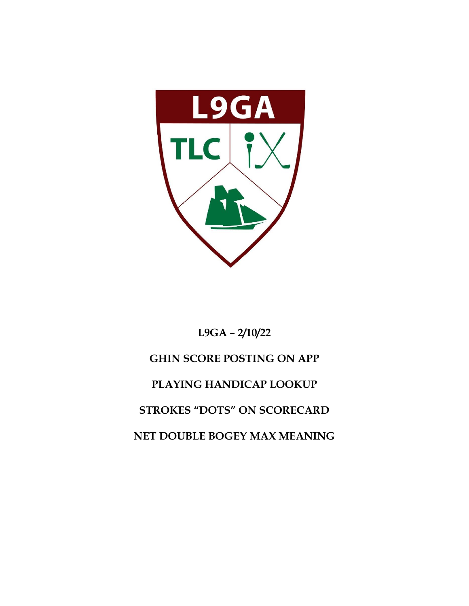

# **L9GA – 2/10/22 GHIN SCORE POSTING ON APP PLAYING HANDICAP LOOKUP STROKES "DOTS" ON SCORECARD NET DOUBLE BOGEY MAX MEANING**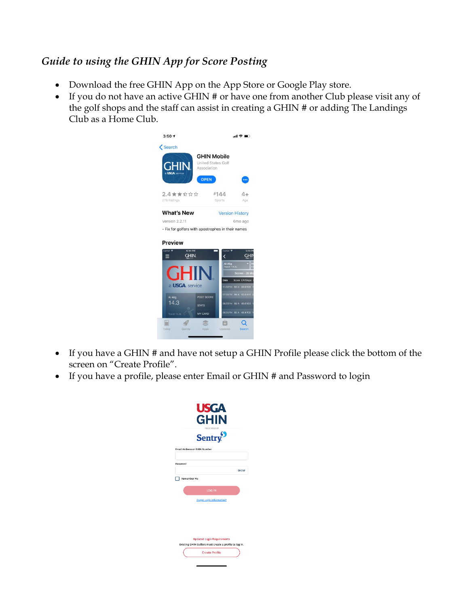## *Guide to using the GHIN App for Score Posting*

- Download the free GHIN App on the App Store or Google Play store.
- If you do not have an active GHIN # or have one from another Club please visit any of the golf shops and the staff can assist in creating a GHIN # or adding The Landings Club as a Home Club.



- If you have a GHIN # and have not setup a GHIN Profile please click the bottom of the screen on "Create Profile".
- If you have a profile, please enter Email or GHIN # and Password to login

|          | <b>USGA</b><br><b>GHIN</b>                                                                  |             |
|----------|---------------------------------------------------------------------------------------------|-------------|
|          | <b>PRESENTED BY</b><br><b>Sentry</b>                                                        |             |
|          | <b>Email Address or GHIN Number</b>                                                         |             |
| Password |                                                                                             |             |
|          |                                                                                             | <b>SHOW</b> |
|          |                                                                                             |             |
|          | Remember Me<br><b>LOG IN</b>                                                                |             |
|          | <b>Forgot Login Information?</b>                                                            |             |
|          |                                                                                             |             |
|          |                                                                                             |             |
|          |                                                                                             |             |
|          | <b>Updated Login Requirements</b><br>Existing GHIN Golfers must create a profile to log in. |             |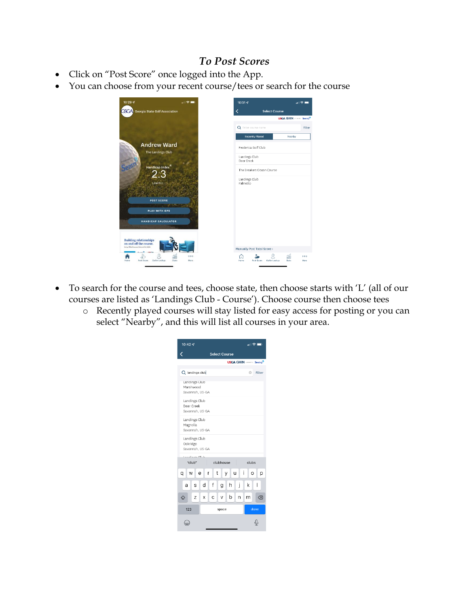#### *To Post Scores*

- Click on "Post Score" once logged into the App.
- You can choose from your recent course/tees or search for the course



- To search for the course and tees, choose state, then choose starts with 'L' (all of our courses are listed as 'Landings Club - Course'). Choose course then choose tees
	- o Recently played courses will stay listed for easy access for posting or you can select "Nearby", and this will list all courses in your area.

| $10:42 - 7$                                                 | 해오트                              |        |  |  |  |  |  |  |  |  |  |
|-------------------------------------------------------------|----------------------------------|--------|--|--|--|--|--|--|--|--|--|
| <b>Select Course</b>                                        |                                  |        |  |  |  |  |  |  |  |  |  |
| <b>USGA GHIN <i>contrary</i> Sentry<sup>9</sup></b>         |                                  |        |  |  |  |  |  |  |  |  |  |
| Q landings club<br>Ø<br>Filter                              |                                  |        |  |  |  |  |  |  |  |  |  |
| Landings Club<br>Marshwood<br>Savannah, US-GA               |                                  |        |  |  |  |  |  |  |  |  |  |
| Landings Club<br>Deer Creek<br>Savannah, US-GA              |                                  |        |  |  |  |  |  |  |  |  |  |
| Landings Club<br>Magnolia<br>Savannah, US-GA                |                                  |        |  |  |  |  |  |  |  |  |  |
| Oakridge                                                    | Landings Club<br>Savannah, US-GA |        |  |  |  |  |  |  |  |  |  |
| "club"                                                      | alta an antiche<br>clubs         |        |  |  |  |  |  |  |  |  |  |
| clubhouse<br>i<br>W<br>t<br>u<br>q<br>е<br>r<br>y<br>O<br>p |                                  |        |  |  |  |  |  |  |  |  |  |
| a<br>S                                                      | f<br>j<br>d<br>h<br>g            | I<br>k |  |  |  |  |  |  |  |  |  |
| Z<br>⇧                                                      | b.<br>C<br>v<br>n<br>X           | ∞<br>m |  |  |  |  |  |  |  |  |  |
| 123                                                         | space                            | done   |  |  |  |  |  |  |  |  |  |
|                                                             |                                  |        |  |  |  |  |  |  |  |  |  |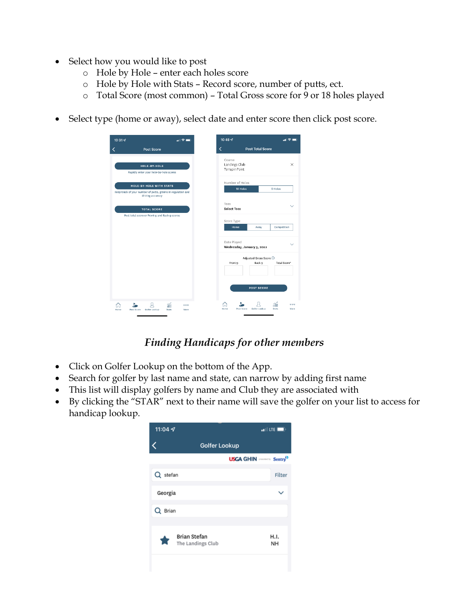- Select how you would like to post
	- o Hole by Hole enter each holes score
	- o Hole by Hole with Stats Record score, number of putts, ect.
	- o Total Score (most common) Total Gross score for 9 or 18 holes played
- Select type (home or away), select date and enter score then click post score.

| $10:31 - 7$                                                                                                        | $\mathbf{m} \otimes \mathbf{m}$ | 10:48 $\blacktriangleleft$                |              |
|--------------------------------------------------------------------------------------------------------------------|---------------------------------|-------------------------------------------|--------------|
| Post Score                                                                                                         |                                 | K<br><b>Post Total Score</b>              |              |
| HOLE-BY-HOLE                                                                                                       |                                 | Course<br>Landings Club                   |              |
| Rapidly enter your hole-by-hole scores                                                                             |                                 | Terrapin Point                            |              |
| <b>HOLE-BY-HOLE WITH STATS</b><br>Keep track of your number of putts, greens in regulation and<br>driving accuracy |                                 | Number of Holes<br>18 Holes               | 9 Holes      |
| <b>TOTAL SCORE</b>                                                                                                 |                                 | Tees<br><b>Select Tees</b>                |              |
| Post total score or Front-9 and Back-9 scores                                                                      |                                 | Score Type                                |              |
|                                                                                                                    |                                 | <b>Home</b><br>Away                       | Competition  |
|                                                                                                                    |                                 | Date Played<br>Wednesday, January 5, 2022 |              |
|                                                                                                                    |                                 | Adjusted Gross Score 1                    |              |
|                                                                                                                    |                                 | Back 9<br>Front 9                         | Total Score* |
|                                                                                                                    |                                 | <b>POST SCORE</b>                         |              |
|                                                                                                                    |                                 |                                           |              |

## *Finding Handicaps for other members*

- Click on Golfer Lookup on the bottom of the App.
- Search for golfer by last name and state, can narrow by adding first name
- This list will display golfers by name and Club they are associated with
- By clicking the "STAR" next to their name will save the golfer on your list to access for handicap lookup.

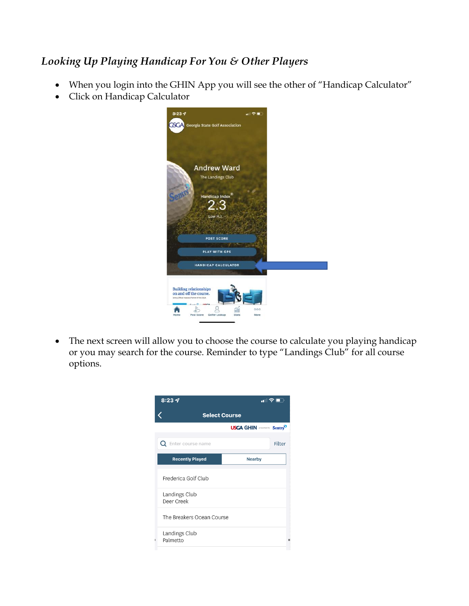# *Looking Up Playing Handicap For You & Other Players*

- When you login into the GHIN App you will see the other of "Handicap Calculator"
- Click on Handicap Calculator



The next screen will allow you to choose the course to calculate you playing handicap or you may search for the course. Reminder to type "Landings Club" for all course options.

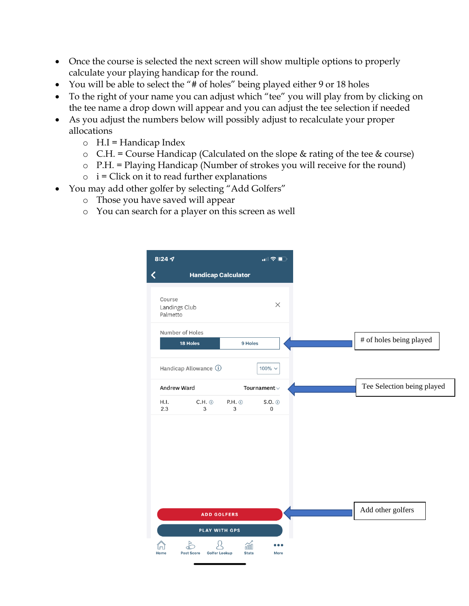- Once the course is selected the next screen will show multiple options to properly calculate your playing handicap for the round.
- You will be able to select the "# of holes" being played either 9 or 18 holes
- To the right of your name you can adjust which "tee" you will play from by clicking on the tee name a drop down will appear and you can adjust the tee selection if needed
- As you adjust the numbers below will possibly adjust to recalculate your proper allocations
	- $\circ$  H.I = Handicap Index
	- $\circ$  C.H. = Course Handicap (Calculated on the slope & rating of the tee & course)
	- o P.H. = Playing Handicap (Number of strokes you will receive for the round)
	- $\circ$  i = Click on it to read further explanations
- You may add other golfer by selecting "Add Golfers"
	- o Those you have saved will appear
	- o You can search for a player on this screen as well

| 8:24 $\mathcal{A}$ |                                     |                 | $\blacksquare$ $\widehat{\mathbf{S}}$ $\blacksquare$ |
|--------------------|-------------------------------------|-----------------|------------------------------------------------------|
|                    | <b>Handicap Calculator</b>          |                 |                                                      |
| Course<br>Palmetto | Landings Club                       |                 | $\times$                                             |
|                    | Number of Holes<br>18 Holes         | 9 Holes         |                                                      |
|                    | Handicap Allowance (i)              |                 | 100% $\sim$                                          |
|                    | Andrew Ward                         |                 | Tournament $\vee$                                    |
| H.I.<br>2.3        | $C.H.$ $\odot$<br>3                 | $P.H.$ $@$<br>3 | $S.O.$ $@$<br>$\mathbf 0$                            |
|                    | <b>ADD GOLFERS</b><br>PLAY WITH GPS |                 |                                                      |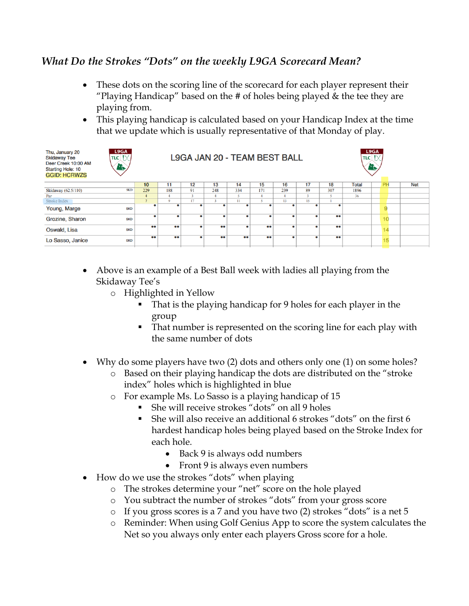#### *What Do the Strokes "Dots" on the weekly L9GA Scorecard Mean?*

- These dots on the scoring line of the scorecard for each player represent their "Playing Handicap" based on the  $#$  of holes being played  $\&$  the tee they are playing from.
- This playing handicap is calculated based on your Handicap Index at the time that we update which is usually representative of that Monday of play.

| Thu, January 20<br><b>Skidaway Tee</b><br>Deer Creek 10:00 AM<br><b>Starting Hole: 10</b><br><b>GGID: HCRWZS</b> | L9GA<br>$\textsf{Tric} \mathfrak{f}\times\mathfrak{g} $<br>li. | L9GA<br>L9GA JAN 20 - TEAM BEST BALL<br>$\textsf{Tric}$ $\uparrow \times$<br>r, |                   |              |                   |                   |                   |           |    |                   |              |  |    |            |
|------------------------------------------------------------------------------------------------------------------|----------------------------------------------------------------|---------------------------------------------------------------------------------|-------------------|--------------|-------------------|-------------------|-------------------|-----------|----|-------------------|--------------|--|----|------------|
|                                                                                                                  |                                                                | 10 <sub>1</sub>                                                                 | 11                | 12           | 13                | 14                | 15                | 16        | 17 | 18                | <b>Total</b> |  | PH | <b>Net</b> |
| Skidaway (62.5/110)                                                                                              | <b>SKD</b>                                                     | 229                                                                             | 188               | 91           | 248               | 334               | 171               | 239       | 89 | 307               | 1896         |  |    |            |
| Par                                                                                                              |                                                                | 4                                                                               |                   | $\mathbf{a}$ |                   |                   |                   |           |    | $\leq$            | 36           |  |    |            |
| <b>Stroke Index</b>                                                                                              |                                                                | $\overline{ }$                                                                  | $\mathbf Q$       | 17           |                   | $_{11}$           |                   | 13        | 15 |                   |              |  |    |            |
| Young, Marge                                                                                                     | <b>SKD</b>                                                     |                                                                                 |                   | ٠            |                   |                   | ۰                 | $\bullet$ |    |                   |              |  |    |            |
| Grozine, Sharon                                                                                                  | <b>SKD</b>                                                     |                                                                                 | ٠                 | ٠            |                   | ٠                 | ۰                 | ۰         |    | $\bullet\bullet$  |              |  | 10 |            |
| Oswald, Lisa                                                                                                     | <b>SKD</b>                                                     | $\bullet \bullet$                                                               | $\bullet \bullet$ | $\bullet$    | $\bullet \bullet$ | ٠                 | $\bullet$         | $\bullet$ |    | $\bullet \bullet$ |              |  | 14 |            |
| Lo Sasso, Janice                                                                                                 | <b>SKD</b>                                                     | $\bullet \bullet$                                                               | $\bullet \bullet$ | $\bullet$    | $\bullet \bullet$ | $\bullet \bullet$ | $\bullet \bullet$ | $\bullet$ |    | $\bullet \bullet$ |              |  | 15 |            |

- Above is an example of a Best Ball week with ladies all playing from the Skidaway Tee's
	- o Highlighted in Yellow
		- That is the playing handicap for 9 holes for each player in the group
		- **•** That number is represented on the scoring line for each play with the same number of dots
- Why do some players have two (2) dots and others only one (1) on some holes?
	- o Based on their playing handicap the dots are distributed on the "stroke index" holes which is highlighted in blue
	- o For example Ms. Lo Sasso is a playing handicap of 15
		- She will receive strokes "dots" on all 9 holes
		- She will also receive an additional 6 strokes "dots" on the first 6 hardest handicap holes being played based on the Stroke Index for each hole.
			- Back 9 is always odd numbers
			- Front 9 is always even numbers
- How do we use the strokes "dots" when playing
	- o The strokes determine your "net" score on the hole played
	- o You subtract the number of strokes "dots" from your gross score
	- o If you gross scores is a 7 and you have two (2) strokes "dots" is a net 5
	- o Reminder: When using Golf Genius App to score the system calculates the Net so you always only enter each players Gross score for a hole.